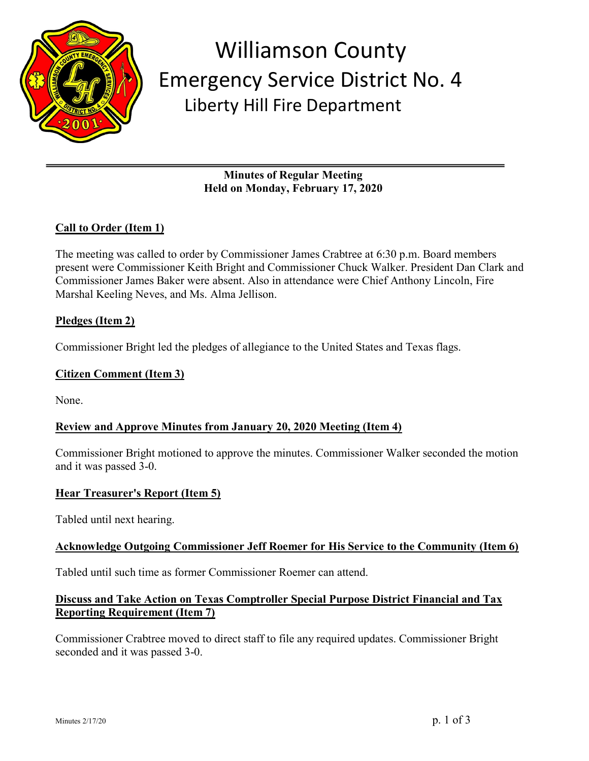

# Williamson County Emergency Service District No. 4 Liberty Hill Fire Department

**Minutes of Regular Meeting Held on Monday, February 17, 2020**

## **Call to Order (Item 1)**

The meeting was called to order by Commissioner James Crabtree at 6:30 p.m. Board members present were Commissioner Keith Bright and Commissioner Chuck Walker. President Dan Clark and Commissioner James Baker were absent. Also in attendance were Chief Anthony Lincoln, Fire Marshal Keeling Neves, and Ms. Alma Jellison.

### **Pledges (Item 2)**

Commissioner Bright led the pledges of allegiance to the United States and Texas flags.

#### **Citizen Comment (Item 3)**

None.

### **Review and Approve Minutes from January 20, 2020 Meeting (Item 4)**

Commissioner Bright motioned to approve the minutes. Commissioner Walker seconded the motion and it was passed 3-0.

### **Hear Treasurer's Report (Item 5)**

Tabled until next hearing.

#### **Acknowledge Outgoing Commissioner Jeff Roemer for His Service to the Community (Item 6)**

Tabled until such time as former Commissioner Roemer can attend.

### **Discuss and Take Action on Texas Comptroller Special Purpose District Financial and Tax Reporting Requirement (Item 7)**

Commissioner Crabtree moved to direct staff to file any required updates. Commissioner Bright seconded and it was passed 3-0.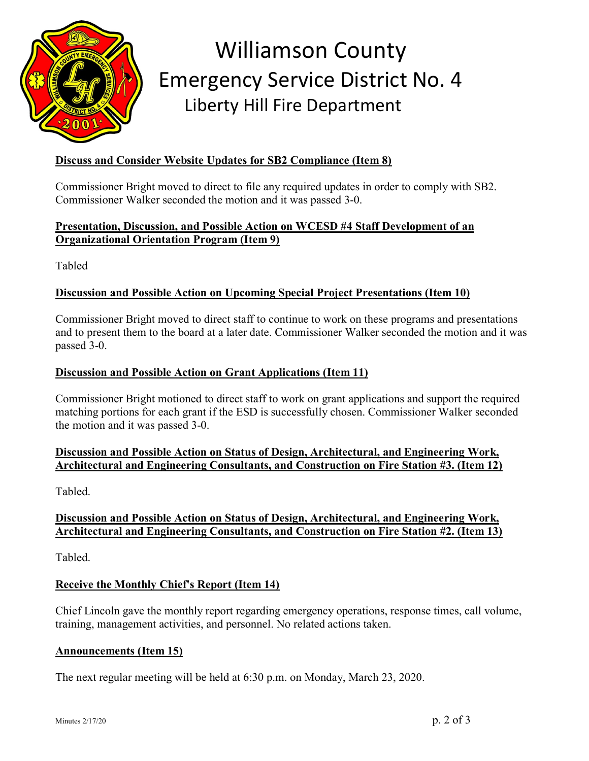

# Williamson County Emergency Service District No. 4 Liberty Hill Fire Department

# **Discuss and Consider Website Updates for SB2 Compliance (Item 8)**

Commissioner Bright moved to direct to file any required updates in order to comply with SB2. Commissioner Walker seconded the motion and it was passed 3-0.

### **Presentation, Discussion, and Possible Action on WCESD #4 Staff Development of an Organizational Orientation Program (Item 9)**

Tabled

### **Discussion and Possible Action on Upcoming Special Project Presentations (Item 10)**

Commissioner Bright moved to direct staff to continue to work on these programs and presentations and to present them to the board at a later date. Commissioner Walker seconded the motion and it was passed 3-0.

#### **Discussion and Possible Action on Grant Applications (Item 11)**

Commissioner Bright motioned to direct staff to work on grant applications and support the required matching portions for each grant if the ESD is successfully chosen. Commissioner Walker seconded the motion and it was passed 3-0.

### **Discussion and Possible Action on Status of Design, Architectural, and Engineering Work, Architectural and Engineering Consultants, and Construction on Fire Station #3. (Item 12)**

Tabled.

## **Discussion and Possible Action on Status of Design, Architectural, and Engineering Work, Architectural and Engineering Consultants, and Construction on Fire Station #2. (Item 13)**

Tabled.

### **Receive the Monthly Chief's Report (Item 14)**

Chief Lincoln gave the monthly report regarding emergency operations, response times, call volume, training, management activities, and personnel. No related actions taken.

#### **Announcements (Item 15)**

The next regular meeting will be held at 6:30 p.m. on Monday, March 23, 2020.